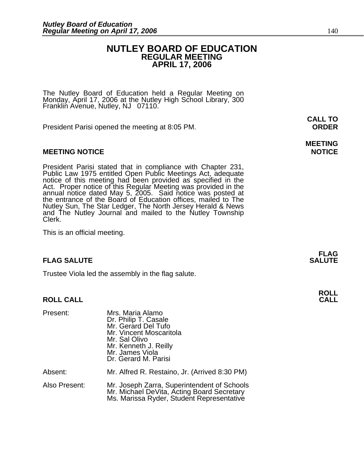### **NUTLEY BOARD OF EDUCATION REGULAR MEETING APRIL 17, 2006**

The Nutley Board of Education held a Regular Meeting on Monday, April 17, 2006 at the Nutley High School Library, 300 Franklin Avenue, Nutley, NJ 07110.

President Parisi opened the meeting at 8:05 PM. **ORDER**

#### **MEETING NOTICE NOTICE AND RESERVE ASSESS**

President Parisi stated that in compliance with Chapter 231,<br>Public Law 1975 entitled Open Public Meetings Act, adequate<br>notice of this meeting had been provided as specified in the<br>Act. Proper notice of this Regular Meeti annual notice dated May 5, 2005. Said notice was posted at<br>the entrance of the Board of Education offices, mailed to The Nutley Sun, The Star Ledger, The North Jersey Herald & News and The Nutley Journal and mailed to the Nutley Township Clerk.

This is an official meeting.

#### **FLAG SALUTE SALUTE SALUTE**

Trustee Viola led the assembly in the flag salute.

#### **ROLL CALL**

| Present:      | Mrs. Maria Alamo<br>Dr. Philip T. Casale<br>Mr. Gerard Del Tufo<br>Mr. Vincent Moscaritola<br>Mr. Sal Olivo<br>Mr. Kenneth J. Reilly<br>Mr. James Viola<br>Dr. Gerard M. Parisi |
|---------------|---------------------------------------------------------------------------------------------------------------------------------------------------------------------------------|
| Absent:       | Mr. Alfred R. Restaino, Jr. (Arrived 8:30 PM)                                                                                                                                   |
| Also Present: | Mr. Joseph Zarra, Superintendent of Schools<br>Mr. Michael DeVita, Acting Board Secretary<br>Ms. Marissa Ryder, Student Representative                                          |

**CALL TO** 

# **MEETING**

**FLAG** 

**ROLL**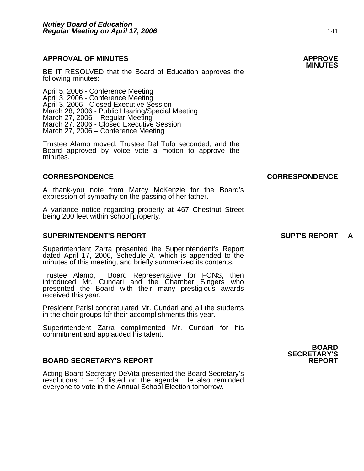## **APPROVAL OF MINUTES APPROVE**

BE IT RESOLVED that the Board of Education approves the following minutes:

 April 5, 2006 - Conference Meeting April 3, 2006 - Conference Meeting April 3, 2006 - Closed Executive Session March 28, 2006 - Public Hearing/Special Meeting<br>March 27, 2006 – Regular Meeting March 27, 2006 - Closed Executive Session March 27, 2006 – Conference Meeting

> Trustee Alamo moved, Trustee Del Tufo seconded, and the Board approved by voice vote a motion to approve the minutes.

A thank-you note from Marcy McKenzie for the Board's expression of sympathy on the passing of her father.

A variance notice regarding property at 467 Chestnut Street being 200 feet within school property.

#### **SUPERINTENDENT'S REPORT SUPT'S REPORT A**

Superintendent Zarra presented the Superintendent's Report dated April 17, 2006, Schedule A, which is appended to the minutes of this meeting, and briefly summarized its contents.

Trustee Alamo, Board Representative for FONS, then introduced Mr. Cundari and the Chamber Singers who presented the Board with their many prestigious awards received this year.

President Parisi congratulated Mr. Cundari and all the students in the choir groups for their accomplishments this year.

Superintendent Zarra complimented Mr. Cundari for his commitment and applauded his talent.

#### **BOARD SECRETARY'S REPORT**

Acting Board Secretary DeVita presented the Board Secretary's resolutions 1 – 13 listed on the agenda. He also reminded everyone to vote in the Annual School Election tomorrow.

**BOARD SECRETARY'S** 

**CORRESPONDENCE CORRESPONDENCE**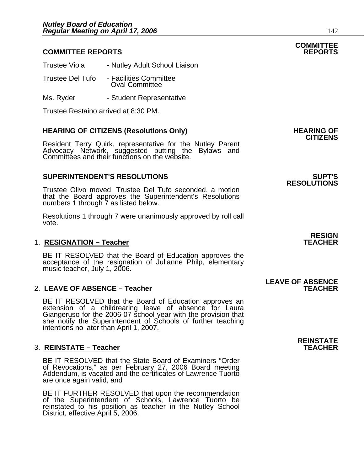### **COMMITTEE REPORTS REPORTS**

- Trustee Viola Nutley Adult School Liaison
- Trustee Del Tufo Facilities Committee Oval Committee
- Ms. Ryder Student Representative

Trustee Restaino arrived at 8:30 PM.

**HEARING OF CITIZENS (Resolutions Only) HEARING OF CITIZENS**<br>**CITIZENS** Resident Terry Quirk, representative for the Nutley Parent Advocacy Network, suggested putting the Bylaws and Committees and their functions on the website.

#### **SUPERINTENDENT'S RESOLUTIONS SUPT'S**

Trustee Olivo moved, Trustee Del Tufo seconded, a motion that the Board approves the Superintendent's Resolutions numbers 1 through 7 as listed below.

Resolutions 1 through 7 were unanimously approved by roll call vote.

#### 1. **RESIGNATION – Teacher**

BE IT RESOLVED that the Board of Education approves the acceptance of the resignation of Julianne Philp, elementary music teacher, July 1, 2006.

#### 2. LEAVE OF ABSENCE - Teacher

BE IT RESOLVED that the Board of Education approves an extension of a childrearing leave of absence for Laura<br>Giangeruso for the 2006-07 school year with the provision that<br>she notify the Superintendent of Schools of furth intentions no later than April 1, 2007.

#### 3. **REINSTATE – Teacher**

BE IT RESOLVED that the State Board of Examiners "Order of Revocations," as per February 27, 2006 Board meeting Addendum, is vacated and the certificates of Lawrence Tuorto are once again valid, and

BE IT FURTHER RESOLVED that upon the recommendation of the Superintendent of Schools, Lawrence Tuorto be reinstated to his position as teacher in the Nutley School District, effective April 5, 2006. **RESOLUTIONS** 

**RESIGN** 

## **LEAVE OF ABSENCE**



# **COMMITTEE**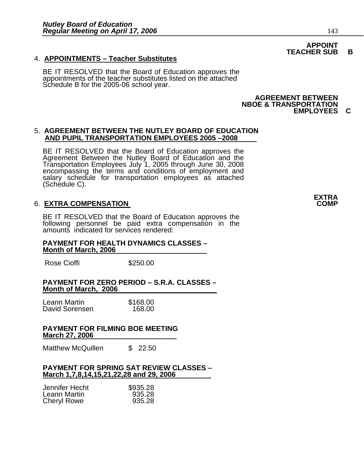### 4. **APPOINTMENTS – Teacher Substitutes**

BE IT RESOLVED that the Board of Education approves the appointments of the teacher substitutes listed on the attached Schedule B for the 2005-06 school year.

> **AGREEMENT BETWEEN NBOE & TRANSPORTATION EMPLOYEES C**

#### 5. **AGREEMENT BETWEEN THE NUTLEY BOARD OF EDUCATION AND PUPIL TRANSPORTATION EMPLOYEES 2005 –2008**

BE IT RESOLVED that the Board of Education approves the Agreement Between the Nutley Board of Education and the Transportation Employees July 1, 2005 through June 30, 2008 encompassing the terms and conditions of employment and salary schedule for transportation employees as attached (Schedule C).

### 6. **EXTRA COMPENSATION**

BE IT RESOLVED that the Board of Education approves the following personnel be paid extra compensation in the amounts indicated for services rendered:

#### **PAYMENT FOR HEALTH DYNAMICS CLASSES – Month of March, 2006**

Rose Cioffi **\$250.00** 

#### **PAYMENT FOR ZERO PERIOD – S.R.A. CLASSES – Month of March, 2006**

| Leann Martin   | \$168.00 |
|----------------|----------|
| David Sorensen | 168.00   |

#### **PAYMENT FOR FILMING BOE MEETING March 27, 2006**

Matthew McQuillen \$ 22.50

#### **PAYMENT FOR SPRING SAT REVIEW CLASSES – March 1,7,8,14,15,21,22,28 and 29, 2006**

| Jennifer Hecht | \$935.28 |
|----------------|----------|
| Leann Martin   | 935.28   |
| Cheryl Rowe    | 935.28   |

## **APPOINT TEACHER SUB B**

**EXTRA**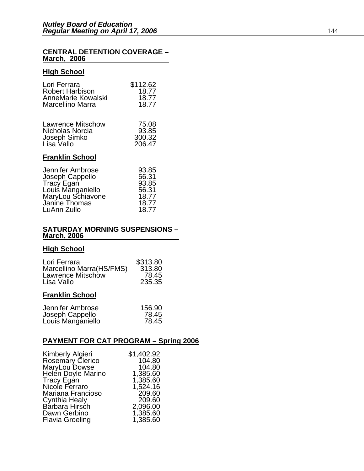#### **CENTRAL DETENTION COVERAGE – March, 2006**

#### **High School**

| Lori Ferrara                                                              | \$112.62                           |
|---------------------------------------------------------------------------|------------------------------------|
| <b>Robert Harbison</b>                                                    | 18.77                              |
| AnneMarie Kowalski                                                        | 18.77                              |
| <b>Marcellino Marra</b>                                                   | 18.77                              |
| <b>Lawrence Mitschow</b><br>Nicholas Norcia<br>Joseph Simko<br>Lisa Vallo | 75.08<br>93.85<br>300.32<br>206.47 |

### **Franklin School**

| Jennifer Ambrose  | 93.85 |
|-------------------|-------|
| Joseph Cappello   | 56.31 |
| Tracy Egan        | 93.85 |
| Louis Mănganiello | 56.31 |
| MaryLou Schiavone | 18.77 |
| Janine Thomas     | 18.77 |
| LuAnn Zullo       | 18.77 |

#### **SATURDAY MORNING SUSPENSIONS – March, 2006**

### **High School**

| Lori Ferrara             | \$313.80 |
|--------------------------|----------|
| Marcellino Marra(HS/FMS) | 313.80   |
| Lawrence Mitschow        | 78.45    |
| Lisa Vallo               | 235.35   |

### **Franklin School**

| Jennifer Ambrose  | 156.90 |
|-------------------|--------|
| Joseph Cappello   | 78.45  |
| Louis Manganiello | 78.45  |

### **PAYMENT FOR CAT PROGRAM – Spring 2006**

| Kimberly Algieri        | \$1,402.92 |
|-------------------------|------------|
| <b>Rosemary Clerico</b> | 104.80     |
| MaryLou Dowse           | 104.80     |
| Helen Doyle-Marino      | 1,385.60   |
| Tracy Egan              | 1,385.60   |
| Nicole Ferraro          | 1,524.16   |
| Mariana Francioso       | 209.60     |
| Cynthia Healy           | 209.60     |
| Barbara Hirsch          | 2,096.00   |
| Dawn Gerbino            | 1,385.60   |
| Flavia Groeling         | 1,385.60   |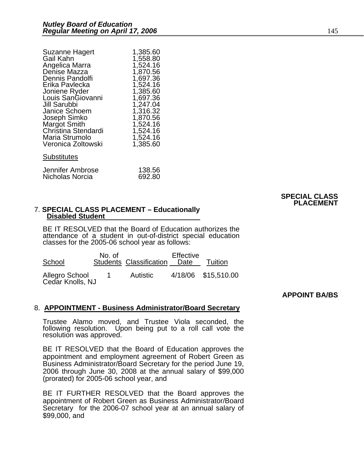| <b>Suzanne Hagert</b> | 1,385.60 |
|-----------------------|----------|
| Gail Kahn             | 1,558.80 |
| Angelica Marra        | 1,524.16 |
| Denise Mazza          | 1,870.56 |
| Dennis Pandolfi       | 1,697.36 |
| Erika Pavlecka        | 1,524.16 |
| Joniene Ryder         | 1,385.60 |
| Louis SanGiovanni     | 1,697.36 |
| Jill Sarubbi          | 1,247.04 |
| <b>Janice Schoem</b>  | 1,316.32 |
| Joseph Simko          | 1,870.56 |
| <b>Margot Smith</b>   | 1,524.16 |
| Christina Stendardi   | 1,524.16 |
| Maria Strumolo        | 1,524.16 |
| Veronica Zoltowski    | 1,385.60 |
| Substitutes           |          |
| Jennifer Ambrose      | 138.56   |
| Nicholas Norcia       | 692.80   |

### **SPECIAL CLASS PLACEMENT**

#### 7. **SPECIAL CLASS PLACEMENT – Educationally Disabled Student**

BE IT RESOLVED that the Board of Education authorizes the attendance of a student in out-of-district special education classes for the 2005-06 school year as follows:

| School                             | No. of | <b>Students Classification</b> | Effective<br>Date | Tuition             |
|------------------------------------|--------|--------------------------------|-------------------|---------------------|
| Allegro School<br>Cedar Knolls, NJ |        | Autistic                       |                   | 4/18/06 \$15,510.00 |

#### **APPOINT BA/BS**

### 8. **APPOINTMENT - Business Administrator/Board Secretary**

Trustee Alamo moved, and Trustee Viola seconded, the following resolution. Upon being put to a roll call vote the resolution was approved.

BE IT RESOLVED that the Board of Education approves the appointment and employment agreement of Robert Green as Business Administrator/Board Secretary for the period June 19, 2006 through June 30, 2008 at the annual salary of \$99,000 (prorated) for 2005-06 school year, and

BE IT FURTHER RESOLVED that the Board approves the appointment of Robert Green as Business Administrator/Board Secretary for the 2006-07 school year at an annual salary of \$99,000, and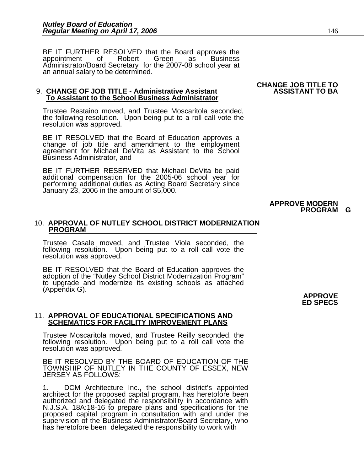BE IT FURTHER RESOLVED that the Board approves the appointment of Robert Green as Business Administrator/Board Secretary for the 2007-08 school year at an annual salary to be determined.

#### 9. **CHANGE OF JOB TITLE - Administrative Assistant To Assistant to the School Business Administrator**

Trustee Restaino moved, and Trustee Moscaritola seconded, the following resolution. Upon being put to a roll call vote the resolution was approved.

BE IT RESOLVED that the Board of Education approves a change of job title and amendment to the employment agreement for Michael DeVita as Assistant to the School Business Administrator, and

BE IT FURTHER RESERVED that Michael DeVita be paid additional compensation for the 2005-06 school year for performing additional duties as Acting Board Secretary since January 23, 2006 in the amount of \$5,000.

#### **APPROVE MODERN PROGRAM G**

#### 10. **APPROVAL OF NUTLEY SCHOOL DISTRICT MODERNIZATION PROGRAM**

Trustee Casale moved, and Trustee Viola seconded, the following resolution. Upon being put to a roll call vote the resolution was approved.

BE IT RESOLVED that the Board of Education approves the adoption of the "Nutley School District Modernization Program" to upgrade and modernize its existing schools as attached (Appendix G).

# 11. **APPROVAL OF EDUCATIONAL SPECIFICATIONS AND SCHEMATICS FOR FACILITY IMPROVEMENT PLANS**

Trustee Moscaritola moved, and Trustee Reilly seconded, the following resolution. Upon being put to a roll call vote the resolution was approved.

 BE IT RESOLVED BY THE BOARD OF EDUCATION OF THE TOWNSHIP OF NUTLEY IN THE COUNTY OF ESSEX, NEW JERSEY AS FOLLOWS:

1. DCM Architecture Inc., the school district's appointed architect for the proposed capital program, has heretofore been authorized and delegated the responsibility in accordance with N.J.S.A. 18A:18-16 to prepare plans and specifications for the proposed capital program in consultation with and under the supervision of the Business Administrator/Board Secretary, who<br>has heretofore been delegated the responsibility to work with

### **APPROVE ED SPECS**

# **CHANGE JOB TITLE TO**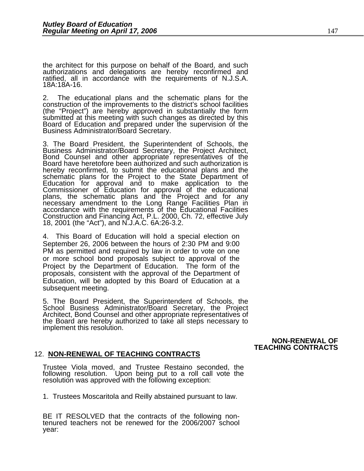the architect for this purpose on behalf of the Board, and such authorizations and delegations are hereby reconfirmed and ratified, all in accordance with the requirements of N.J.S.A.<br>18A:18A-16.

2. The educational plans and the schematic plans for the construction of the improvements to the district's school facilities (the "Project") are hereby approved in substantially the form submitted at this meeting with such changes as directed by this Board of Education and prepared under the supervision of the Business Administrator/Board Secretary.

3. The Board President, the Superintendent of Schools, the Business Administrator/Board Secretary, the Project Architect, Bond Counsel and other appropriate representatives of the Board have heretofore been authorized and schematic plans for the Project to the State Department of<br>Education for approval and to make application to the<br>Commissioner of Education for approval of the educational plans, the schematic plans and the Project and for any<br>necessary amendment to the Long Range Facilities Plan in<br>accordance with the requirements of the Educational Facilities Construction and Financing Act, P.L. 2000, Ch. 72, effective July 18, 2001 (the "Act"), and N.J.A.C. 6A:26-3.2.

4. This Board of Education will hold a special election on September 26, 2006 between the hours of 2:30 PM and 9:00 PM as permitted and required by law in order to vote on one or more school bond proposals subject to approval of the Project by the Department of Education. The form of the proposals, consistent with the approval of the Department of Education, will be adopted by this Board of Education at a subsequent meeting.

5. The Board President, the Superintendent of Schools, the School Business Administrator/Board Secretary, the Project Architect, Bond Counsel and other appropriate representatives of the Board are hereby authorized to take

#### **NON-RENEWAL OF TEACHING CONTRACTS**

#### 12. **NON-RENEWAL OF TEACHING CONTRACTS**

Trustee Viola moved, and Trustee Restaino seconded, the following resolution. Upon being put to a roll call vote the resolution was approved with the following exception:

1. Trustees Moscaritola and Reilly abstained pursuant to law.

BE IT RESOLVED that the contracts of the following non- tenured teachers not be renewed for the 2006/2007 school year: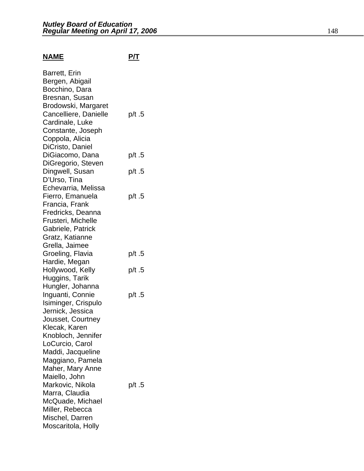### **NAME P/T**

| Barrett, Erin         |        |
|-----------------------|--------|
| Bergen, Abigail       |        |
| Bocchino, Dara        |        |
| Bresnan, Susan        |        |
| Brodowski, Margaret   |        |
| Cancelliere, Danielle | p/t .5 |
| Cardinale, Luke       |        |
|                       |        |
| Constante, Joseph     |        |
| Coppola, Alicia       |        |
| DiCristo, Daniel      |        |
| DiGiacomo, Dana       | p/t .5 |
| DiGregorio, Steven    |        |
| Dingwell, Susan       | p/t .5 |
| D'Urso, Tina          |        |
| Echevarria, Melissa   |        |
| Fierro, Emanuela      | p/t.5  |
| Francia, Frank        |        |
| Fredricks, Deanna     |        |
| Frusteri, Michelle    |        |
| Gabriele, Patrick     |        |
|                       |        |
| Gratz, Katianne       |        |
| Grella, Jaimee        |        |
| Groeling, Flavia      | p/t .5 |
| Hardie, Megan         |        |
| Hollywood, Kelly      | p/t .5 |
| Huggins, Tarik        |        |
| Hungler, Johanna      |        |
| Inguanti, Connie      | p/t.5  |
| Isiminger, Crispulo   |        |
| Jernick, Jessica      |        |
| Jousset, Courtney     |        |
| Klecak, Karen         |        |
| Knobloch, Jennifer    |        |
| LoCurcio, Carol       |        |
|                       |        |
| Maddi, Jacqueline     |        |
| Maggiano, Pamela      |        |
| Maher, Mary Anne      |        |
| Maiello, John         |        |
| Markovic, Nikola      | p/t .5 |
| Marra, Claudia        |        |
| McQuade, Michael      |        |
| Miller, Rebecca       |        |
| Mischel, Darren       |        |
| Moscaritola, Holly    |        |
|                       |        |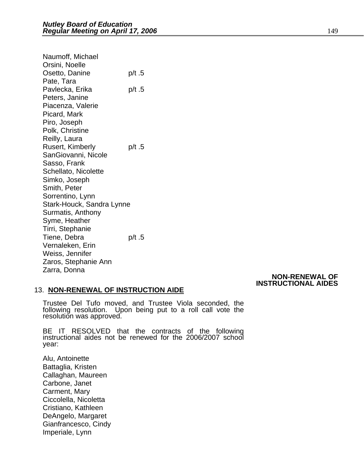| Naumoff, Michael          |        |
|---------------------------|--------|
| Orsini, Noelle            |        |
| Osetto, Danine            | p/t .5 |
| Pate, Tara                |        |
| Pavlecka, Erika           | p/t .5 |
| Peters, Janine            |        |
| Piacenza, Valerie         |        |
| Picard, Mark              |        |
| Piro, Joseph              |        |
| Polk, Christine           |        |
| Reilly, Laura             |        |
| <b>Rusert, Kimberly</b>   | p/t .5 |
| SanGiovanni, Nicole       |        |
| Sasso, Frank              |        |
| Schellato, Nicolette      |        |
| Simko, Joseph             |        |
| Smith, Peter              |        |
| Sorrentino, Lynn          |        |
| Stark-Houck, Sandra Lynne |        |
| Surmatis, Anthony         |        |
| Syme, Heather             |        |
| Tirri, Stephanie          |        |
| Tiene, Debra              | p/t .5 |
| Vernaleken, Erin          |        |
| Weiss, Jennifer           |        |
| Zaros, Stephanie Ann      |        |
| Zarra, Donna              |        |

#### **NON-RENEWAL OF INSTRUCTIONAL AIDES**

#### 13. **NON-RENEWAL OF INSTRUCTION AIDE**

Trustee Del Tufo moved, and Trustee Viola seconded, the following resolution. Upon being put to a roll call vote the resolution was approved.

BE IT RESOLVED that the contracts of the following instructional aides not be renewed for the 2006/2007 school year:

Alu, Antoinette Battaglia, Kristen Callaghan, Maureen Carbone, Janet Carment, Mary Ciccolella, Nicoletta Cristiano, Kathleen DeAngelo, Margaret Gianfrancesco, Cindy Imperiale, Lynn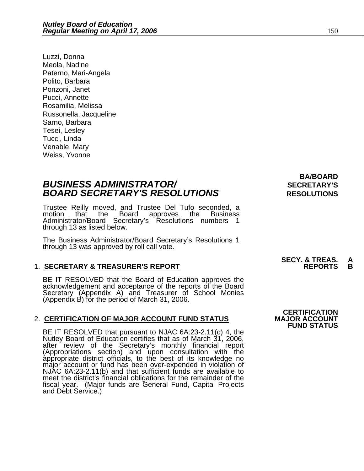Luzzi, Donna Meola, Nadine Paterno, Mari-Angela Polito, Barbara Ponzoni, Janet Pucci, Annette Rosamilia, Melissa Russonella, Jacqueline Sarno, Barbara Tesei, Lesley Tucci, Linda Venable, Mary Weiss, Yvonne

### **BUSINESS ADMINISTRATOR/** *BUSINESS ADMINISTRATOR/* **BOARD SECRETARY'S RESOLUTIONS** RESOLUTIONS

Trustee Reilly moved, and Trustee Del Tufo seconded, a approves Administrator/Board Secretary's Resolutions numbers 1<br>through 13 as listed below.

The Business Administrator/Board Secretary's Resolutions 1 through 13 was approved by roll call vote.

### 1. **SECRETARY & TREASURER'S REPORT**

BE IT RESOLVED that the Board of Education approves the acknowledgement and acceptance of the reports of the Board Secretary (Appendix A) and Treasurer of School Monies (Appendix B) for the period of March 31, 2006.

#### 2. **CERTIFICATION OF MAJOR ACCOUNT FUND STATUS**

BE IT RESOLVED that pursuant to NJAC 6A:23-2.11(c) 4, the Nutley Board of Education certifies that as of March 31, 2006, after review of the Secretary's monthly financial report (Appropriations section) and upon consultation with the appropriate district officials, to the best of its knowledge no major account or fund has been over-expended in violation of NJAC 6A:23-2.11(b) and that sufficient fu meet the district's financial obligations for the remainder of the fiscal year. (Major funds are General Fund, Capital Projects and Debt Service.) **BA/BOARD** 

**SECY. & TREAS. A** 

 **CERTIFICATION FUND STATUS**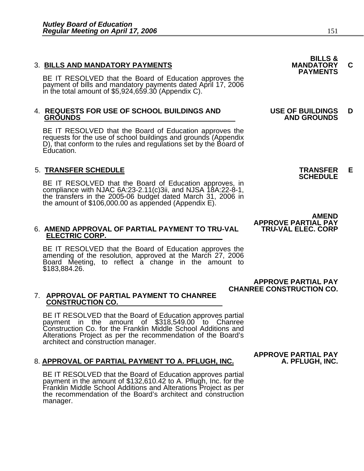3. BILLS AND MANDATORY PAYMENTS<br>BE IT RESOLVED that the Board of Education approves the **PAYMENTS** payment of bills and mandatory payments dated April 17, 2006 in the total amount of \$5,924,659.30 (Appendix C).

# 4. **REQUESTS FOR USE OF SCHOOL BUILDINGS AND USE OF BUILDINGS D**

BE IT RESOLVED that the Board of Education approves the requests for the use of school buildings and grounds (Appendix D), that conform to the rules and regulations set by the Board of Education.

5. **TRANSFER SCHEDULE**<br>**BE IT RESOLVED that the Board of Education approves, in SCHEDULE**<br>**BE IT RESOLVED that the Board of Education approves, in** compliance with NJAC 6A:23-2.11(c)3ii, and NJSA 18A:22-8-1, the transfers in the 2005-06 budget dated March 31, 2006 in the amount of \$106,000.00 as appended (Appendix E).

## 6. AMEND APPROVAL OF PARTIAL PAYMENT TO TRU-VAL ELECTRIC CORP.

BE IT RESOLVED that the Board of Education approves the amending of the resolution, approved at the March 27, 2006 Board Meeting, to reflect a change in the amount to <br>\$183.884.26.

## 7. **APPROVAL OF PARTIAL PAYMENT TO CHANREE CONSTRUCTION CO.**

BE IT RESOLVED that the Board of Education approves partial payment in the amount of \$318,549.00 to Chanree Construction Co. for the Franklin Middle School Additions and Alterations Project as per the recommendation of the Board's architect and construction manager.

#### 8. APPROVAL OF PARTIAL PAYMENT TO A. PFLUGH, INC.

BE IT RESOLVED that the Board of Education approves partial payment in the amount of \$132,610.42 to A. Pflugh, Inc. for the Franklin Middle School Additions and Alterations Project as per the recommendation of the Board's architect and construction manager.

**AMEND APPROVE PARTIAL PAY** 

**APPROVE PARTIAL PAY CHANREE CONSTRUCTION CO.** 

**BILLS &** 

## **GROUNDS AND GROUNDS**

**APPROVE PARTIAL PAY**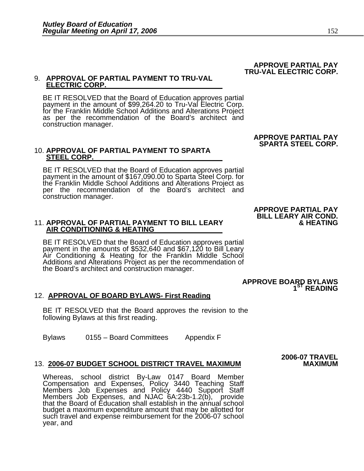## 9. **APPROVAL OF PARTIAL PAYMENT TO TRU-VAL ELECTRIC CORP.**

BE IT RESOLVED that the Board of Education approves partial payment in the amount of \$99,264.20 to Tru-Val Electric Corp. for the Franklin Middle School Additions and Alterations Project<br>as per the recommendation of the Board's architect and construction manager.

10. **APPROVAL OF PARTIAL PAYMENT TO SPARTA STEEL CORP.** 

BE IT RESOLVED that the Board of Education approves partial payment in the amount of \$167,090.00 to Sparta Steel Corp. for the Franklin Middle School Additions and Alterations Project as per the recommendation of the Board's architect and construction manager.

# 11. **APPROVAL OF PARTIAL PAYMENT TO BILL LEARY & HEATING AIR CONDITIONING & HEATING**

BE IT RESOLVED that the Board of Education approves partial payment in the amounts of \$532,640 and \$67,120 to Bill Leary<br>Air Conditioning & Heating for the Franklin Middle School<br>Additions and Alterations Project as per the recommendation of<br>the Board's architect and construction m

12. **APPROVAL OF BOARD BYLAWS- First Reading**

BE IT RESOLVED that the Board approves the revision to the following Bylaws at this first reading.

Bylaws 0155 – Board Committees Appendix F

#### 13. **2006-07 BUDGET SCHOOL DISTRICT TRAVEL MAXIMUM**

Whereas, school district By-Law 0147 Board Member Compensation and Expenses, Policy 3440 Teaching Staff<br>Members Job Expenses and Policy 4440 Support Staff<br>Members Job Expenses, and NJAC 6A:23b-1.2(b), provide<br>that the Board of Education shall establish in the annual schoo budget a maximum expenditure amount that may be allotted for such travel and expense reimbursement for the 2006-07 school year, and

### **APPROVE PARTIAL PAY BILL LEARY AIR COND.**

**APPROVE BOARD BYLAWS** 

 **APPROVE PARTIAL PAY TRU-VAL ELECTRIC CORP.** 

**APPROVE PARTIAL PAY SPARTA STEEL CORP.** 

**2006-07 TRAVEL** 

**1ST READING**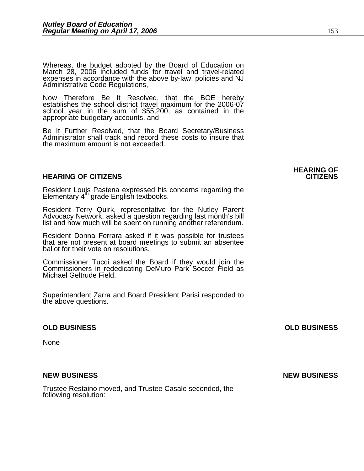Whereas, the budget adopted by the Board of Education on March 28, 2006 included funds for travel and travel-related expenses in accordance with the above by-law, policies and NJ Administrative Code Regulations,

Now Therefore Be It Resolved, that the BOE hereby establishes the school district travel maximum for the 2006-07 school year in the sum of \$55,200, as contained in the appropriate budgetary accounts, and

Be It Further Resolved, that the Board Secretary/Business Administrator shall track and record these costs to insure that the maximum amount is not exceeded.

#### **HEARING OF CITIZENS CITIZENS**

Resident Louis Pastena expressed his concerns regarding the Elementary 4<sup>th</sup> grade English textbooks.

Resident Terry Quirk, representative for the Nutley Parent Advocacy Network, asked a question regarding last month's bill list and how much will be spent on running another referendum.

Resident Donna Ferrara asked if it was possible for trustees that are not present at board meetings to submit an absentee ballot for their vote on resolutions.

Commissioner Tucci asked the Board if they would join the Commissioners in rededicating DeMuro Park Soccer Field as Michael Geltrude Field.

Superintendent Zarra and Board President Parisi responded to the above questions.

**None** 

#### **NEW BUSINESS NEW BUSINESS**

Trustee Restaino moved, and Trustee Casale seconded, the following resolution:

## **HEARING OF**

**OLD BUSINESS OLD BUSINESS**